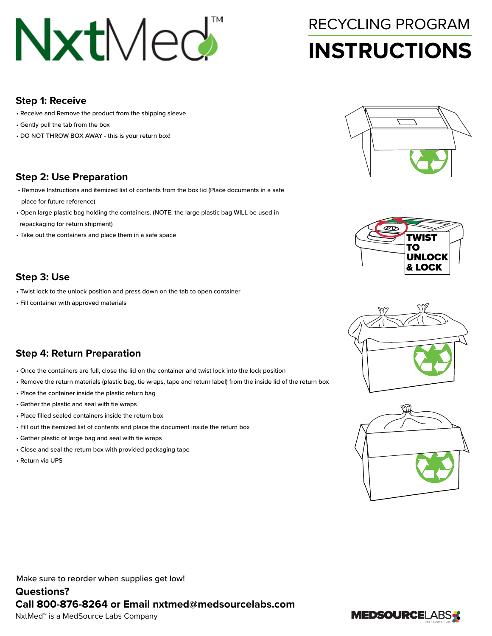# NxtMed<sup>"</sup>

## **INSTRUCTIONS** RECYCLING PROGRAM

#### **Step 1: Receive**

- Receive and Remove the product from the shipping sleeve
- Gently pull the tab from the box
- DO NOT THROW BOX AWAY this is your return box!

### **Step 2: Use Preparation**

- Remove Instructions and itemized list of contents from the box lid (Place documents in a safe place for future reference)
- Open large plastic bag holding the containers. (NOTE: the large plastic bag WILL be used in
- repackaging for return shipment)
- Take out the containers and place them in a safe space

### **Step 3: Use**

- Twist lock to the unlock position and press down on the tab to open container
- Fill container with approved materials

### **Step 4: Return Preparation**

- Once the containers are full, close the lid on the container and twist lock into the lock position
- Remove the return materials (plastic bag, tie wraps, tape and return label) from the inside lid of the return box
- Place the container inside the plastic return bag
- Gather the plastic and seal with tie wraps
- Place filled sealed containers inside the return box
- Fill out the itemized list of contents and place the document inside the return box
- Gather plastic of large bag and seal with tie wraps
- Close and seal the return box with provided packaging tape
- Return via UPS









Make sure to reorder when supplies get low!

**Questions? Call 800-876-8264 or Email nxtmed@medsourcelabs.com**  NxtMed™ is a MedSource Labs Company